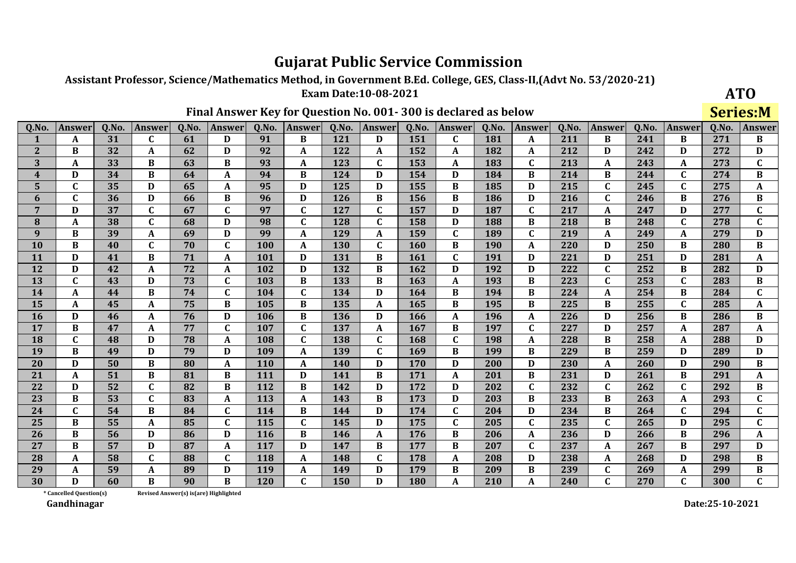Assistant Professor, Science/Mathematics Method, in Government B.Ed. College, GES, Class-II, (Advt No. 53/2020-21)

**Exam Date:10-08-2021** 

### Final Answer Key for Question No. 001-300 is declared as below

**ATO Series:M** 

| Q.No.            | <b>Answer</b> | Q.No. | <b>Answer</b> | Q.No. | <b>Answer</b> | Q.No.      | <b>Answer</b> | Q.No. | <b>Answer</b> | Q.No. | <b>Answer</b> | Q.No.      | <b>Answer</b> | Q.No. | <b>Answer</b> | Q.No. | <b>Answer</b> | Q.No. | <b>Answer</b>    |
|------------------|---------------|-------|---------------|-------|---------------|------------|---------------|-------|---------------|-------|---------------|------------|---------------|-------|---------------|-------|---------------|-------|------------------|
|                  | A             | 31    | $\mathbf C$   | 61    | D             | 91         | $\bf{B}$      | 121   | D             | 151   | $\mathbf C$   | 181        | A             | 211   | B             | 241   | <sub>R</sub>  | 271   | B                |
| $\overline{2}$   | B             | 32    | A             | 62    | D             | 92         | A             | 122   | A             | 152   | A             | 182        | A             | 212   | D             | 242   | D             | 272   | D                |
| 3                | A             | 33    | B             | 63    | $\bf{B}$      | 93         | $\mathbf A$   | 123   | $\mathbf C$   | 153   | A             | 183        | $\mathbf C$   | 213   | A             | 243   | A             | 273   | $\mathbf C$      |
| $\boldsymbol{4}$ | $\bf{D}$      | 34    | B             | 64    | A             | 94         | $\bf{B}$      | 124   | D             | 154   | D             | 184        | B             | 214   | B             | 244   | $\mathbf{C}$  | 274   | $\bf{B}$         |
| 5                | C             | 35    | D             | 65    | A             | 95         | D             | 125   | D             | 155   | B             | 185        | D             | 215   | $\mathbf C$   | 245   | C             | 275   | $\mathbf A$      |
| 6                | $\mathbf{C}$  | 36    | D             | 66    | B             | 96         | D             | 126   | B             | 156   | B             | 186        | D             | 216   | $\mathbf{C}$  | 246   | B             | 276   | $\, {\bf B}$     |
| 7                | D             | 37    | C             | 67    | C             | 97         | $\mathbf C$   | 127   | C             | 157   | D             | 187        | C             | 217   | A             | 247   | D             | 277   | $\mathbf C$      |
| 8                | A             | 38    | $\mathbf{C}$  | 68    | D             | 98         | $\mathbf{C}$  | 128   | $\mathbf C$   | 158   | D             | 188        | <sub>R</sub>  | 218   | B             | 248   | $\mathbf{C}$  | 278   | $\mathbf{C}$     |
| 9                | B             | 39    | A             | 69    | D             | 99         | A             | 129   | A             | 159   | $\mathbf{C}$  | 189        | $\mathbf C$   | 219   | A             | 249   | A             | 279   | $\mathbf D$      |
| 10               | <sub>R</sub>  | 40    | $\mathbf{C}$  | 70    | $\mathbf{C}$  | 100        | A             | 130   | $\mathbf C$   | 160   | B             | <b>190</b> | A             | 220   | D             | 250   | B             | 280   | $\, {\bf B}$     |
| 11               | D             | 41    | $\bf{B}$      | 71    | A             | 101        | D             | 131   | B             | 161   | $\mathbf{C}$  | 191        | D             | 221   | D             | 251   | D             | 281   | $\boldsymbol{A}$ |
| 12               | D             | 42    | A             | 72    | A             | 102        | D             | 132   | B             | 162   | D             | 192        | D             | 222   | $\mathbf C$   | 252   | B             | 282   | D                |
| 13               | $\mathbf{C}$  | 43    | D             | 73    | $\mathbf{C}$  | 103        | $\bf{B}$      | 133   | B             | 163   | A             | 193        | B             | 223   | $\mathbf C$   | 253   | $\mathbf{C}$  | 283   | $\bf{B}$         |
| 14               | A             | 44    | B             | 74    | C             | 104        | $\mathbf C$   | 134   | D             | 164   | B             | 194        | $\bf{B}$      | 224   | A             | 254   | B             | 284   | $\mathbf C$      |
| 15               | A             | 45    | A             | 75    | B             | 105        | $\bf{B}$      | 135   | A             | 165   | B             | 195        | B             | 225   | B             | 255   | C             | 285   | A                |
| 16               | D             | 46    | A             | 76    | D             | 106        | B             | 136   | D             | 166   | A             | 196        | A             | 226   | D             | 256   | B             | 286   | $\bf{B}$         |
| 17               | B             | 47    | A             | 77    | C             | 107        | $\mathbf C$   | 137   | A             | 167   | B             | 197        | C             | 227   | D             | 257   | A             | 287   | A                |
| 18               | $\mathbf{C}$  | 48    | D             | 78    | A             | 108        | $\mathbf C$   | 138   | $\mathbf C$   | 168   | $\mathbf C$   | 198        | A             | 228   | B             | 258   | A             | 288   | D                |
| 19               | B             | 49    | D             | 79    | D             | 109        | A             | 139   | C             | 169   | B             | 199        | B             | 229   | $\bf{B}$      | 259   | D             | 289   | D                |
| 20               | D             | 50    | $\bf{B}$      | 80    | A             | 110        | A             | 140   | D             | 170   | D             | 200        | D             | 230   | A             | 260   | D             | 290   | $\, {\bf B}$     |
| 21               | A             | 51    | $\bf{B}$      | 81    | $\bf{B}$      | 111        | D             | 141   | B             | 171   | A             | 201        | B             | 231   | D             | 261   | B             | 291   | $\mathbf{A}$     |
| 22               | D             | 52    | $\mathbf C$   | 82    | B             | 112        | $\bf{B}$      | 142   | D             | 172   | D             | 202        | $\mathbf C$   | 232   | $\mathbf C$   | 262   | $\mathbf{C}$  | 292   | $\, {\bf B}$     |
| 23               | В             | 53    | $\mathbf C$   | 83    | A             | 113        | A             | 143   | B             | 173   | D             | 203        | B             | 233   | B             | 263   | A             | 293   | $\mathbf C$      |
| 24               | $\mathbf{C}$  | 54    | B             | 84    | $\mathbf{C}$  | 114        | $\bf{B}$      | 144   | D             | 174   | $\mathbf C$   | 204        | D             | 234   | $\bf{B}$      | 264   | C             | 294   | $\mathbf C$      |
| 25               | B             | 55    | A             | 85    | $\mathbf{C}$  | 115        | $\mathbf{C}$  | 145   | D             | 175   | $\mathbf C$   | 205        | $\mathbf C$   | 235   | $\mathbf{C}$  | 265   | D             | 295   | $\mathbf{C}$     |
| 26               | $\bf{B}$      | 56    | D             | 86    | D             | <b>116</b> | $\bf{B}$      | 146   | A             | 176   | B             | 206        | A             | 236   | D             | 266   | B             | 296   | $\mathbf A$      |
| 27               | $\bf{B}$      | 57    | D             | 87    | A             | 117        | D             | 147   | B             | 177   | $\bf{B}$      | 207        | $\mathbf C$   | 237   | $\mathbf{A}$  | 267   | B             | 297   | D                |
| 28               | A             | 58    | $\mathbf C$   | 88    | $\mathbf{C}$  | 118        | A             | 148   | $\mathbf C$   | 178   | A             | 208        | D             | 238   | A             | 268   | D             | 298   | $\, {\bf B}$     |
| 29               | A             | 59    | A             | 89    | D             | 119        | A             | 149   | D             | 179   | B             | 209        | B             | 239   | $\mathbf C$   | 269   | A             | 299   | $\, {\bf B}$     |
| 30               | $\mathbf{D}$  | 60    | $\bf{B}$      | 90    | $\bf{B}$      | 120        | $\mathbf{C}$  | 150   | D             | 180   | A             | 210        | A             | 240   | $\mathbf{C}$  | 270   | $\mathbf{C}$  | 300   | $\mathbf{C}$     |

Revised Answer(s) is(are) Highlighted

\* Cancelled Question(s) Gandhinagar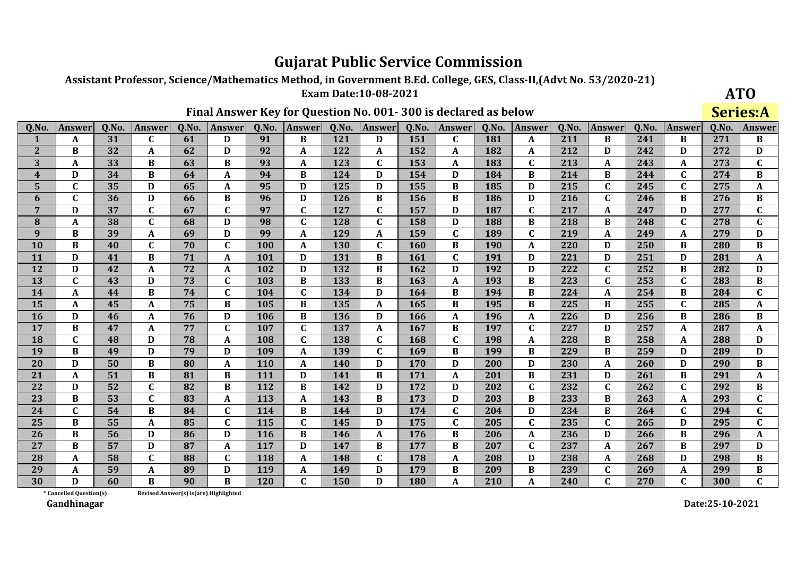Assistant Professor, Science/Mathematics Method, in Government B.Ed. College, GES, Class-II, (Advt No. 53/2020-21)

**Exam Date:10-08-2021** 

### Final Answer Key for Question No. 001-300 is declared as below

**ATO Series:A** 

| Q.No.          | Answer       | Q.No. | <b>Answer</b> | Q.No. | <b>Answer</b> | Q.No. | Answer       | Q.No.      | <b>Answer</b> | Q.No.      | <b>Answer</b> | Q.No.      | <b>Answer</b> | Q.No. | <b>Answer</b> | Q.No. | Answer       | Q.No. | <b>Answer</b> |
|----------------|--------------|-------|---------------|-------|---------------|-------|--------------|------------|---------------|------------|---------------|------------|---------------|-------|---------------|-------|--------------|-------|---------------|
| 1              | A            | 31    | C             | 61    | D             | 91    | B            | 121        | D             | 151        | $\mathbf{C}$  | 181        | A             | 211   | <sub>B</sub>  | 241   | B            | 271   | B             |
| $\overline{2}$ | <sub>R</sub> | 32    | A             | 62    | D             | 92    | A            | 122        | A             | 152        | A             | 182        | A             | 212   | D             | 242   | D            | 272   | D             |
| 3              | A            | 33    | B             | 63    | B             | 93    | A            | 123        | C             | 153        | A             | 183        | $\mathbf C$   | 213   | A             | 243   | A            | 273   | $\mathbf C$   |
| 4              | D            | 34    | B             | 64    | A             | 94    | $\bf{B}$     | 124        | D             | 154        | D             | 184        | B             | 214   | $\bf{B}$      | 244   | $\mathbf C$  | 274   | $\bf{B}$      |
| 5              | $\mathbf{C}$ | 35    | D             | 65    | A             | 95    | D            | 125        | D             | 155        | B             | 185        | D             | 215   | $\mathbf C$   | 245   | C            | 275   | A             |
| 6              | C            | 36    | D             | 66    | B             | 96    | D            | <b>126</b> | B             | 156        | B             | 186        | D             | 216   | $\mathbf{C}$  | 246   | B            | 276   | $\bf{B}$      |
| $\overline{7}$ | D            | 37    | $\mathbf C$   | 67    | $\mathbf C$   | 97    | $\mathbf C$  | 127        | C             | 157        | D             | 187        | $\mathbf C$   | 217   | A             | 247   | D            | 277   | $\mathbf C$   |
| 8              | A            | 38    | $\mathbf{C}$  | 68    | D             | 98    | $\mathbf{C}$ | 128        | $\mathbf C$   | 158        | D             | 188        | B             | 218   | $\bf{B}$      | 248   | $\mathbf C$  | 278   | $\mathbf{C}$  |
| 9              | $\bf{B}$     | 39    | A             | 69    | D             | 99    | A            | 129        | A             | 159        | $\mathbf C$   | 189        | $\mathbf C$   | 219   | $\mathbf{A}$  | 249   | A            | 279   | D             |
| 10             | B            | 40    | C             | 70    | $\mathbf{C}$  | 100   | A            | <b>130</b> | C             | <b>160</b> | B             | <b>190</b> | A             | 220   | D             | 250   | B            | 280   | $\bf{B}$      |
| 11             | D            | 41    | B             | 71    | A             | 101   | D            | 131        | B             | 161        | $\mathbf{C}$  | 191        | D             | 221   | D             | 251   | D            | 281   | $\mathbf{A}$  |
| 12             | D            | 42    | A             | 72    | A             | 102   | D            | 132        | B             | 162        | D             | 192        | D             | 222   | $\mathbf C$   | 252   | B            | 282   | D             |
| 13             | $\mathbf C$  | 43    | D             | 73    | $\mathbf{C}$  | 103   | $\bf{B}$     | 133        | B             | 163        | A             | 193        | B             | 223   | $\mathbf C$   | 253   | $\mathbf C$  | 283   | $\, {\bf B}$  |
| 14             | A            | 44    | B             | 74    | C             | 104   | $\mathbf{C}$ | 134        | D             | 164        | B             | 194        | B             | 224   | A             | 254   | B            | 284   | $\mathbf C$   |
| 15             | A            | 45    | A             | 75    | B             | 105   | $\bf{B}$     | 135        | A             | 165        | $\bf{B}$      | 195        | <sub>R</sub>  | 225   | $\bf{B}$      | 255   | $\mathbf C$  | 285   | $\mathbf A$   |
| 16             | D            | 46    | A             | 76    | D             | 106   | $\bf{B}$     | 136        | D             | 166        | A             | 196        | A             | 226   | D             | 256   | B            | 286   | $\bf{B}$      |
| 17             | B            | 47    | A             | 77    | $\mathbf{C}$  | 107   | $\mathbf{C}$ | 137        | A             | 167        | B             | 197        | $\mathbf C$   | 227   | D             | 257   | A            | 287   | A             |
| 18             | $\mathbf{C}$ | 48    | D             | 78    | A             | 108   | $\mathbf C$  | 138        | $\mathbf C$   | 168        | $\mathbf C$   | 198        | A             | 228   | $\bf{B}$      | 258   | A            | 288   | D             |
| 19             | B            | 49    | D             | 79    | D             | 109   | A            | 139        | $\mathbf{C}$  | 169        | B             | 199        | B             | 229   | $\bf{B}$      | 259   | D            | 289   | D             |
| 20             | D            | 50    | $\bf{B}$      | 80    | A             | 110   | A            | 140        | D             | 170        | D             | 200        | D             | 230   | A             | 260   | D            | 290   | $\bf{B}$      |
| 21             | A            | 51    | B             | 81    | B             | 111   | D            | 141        | B             | 171        | A             | 201        | B             | 231   | D             | 261   | B            | 291   | A             |
| 22             | D            | 52    | $\mathbf C$   | 82    | $\bf{B}$      | 112   | $\bf{B}$     | 142        | D             | 172        | D             | 202        | $\mathbf C$   | 232   | $\mathbf C$   | 262   | $\mathbf{C}$ | 292   | $\bf{B}$      |
| 23             | B            | 53    | $\mathbf{C}$  | 83    | A             | 113   | A            | 143        | B             | 173        | D             | 203        | B             | 233   | $\bf{B}$      | 263   | A            | 293   | $\mathbf C$   |
| 24             | $\mathbf C$  | 54    | B             | 84    | $\mathbf C$   | 114   | $\bf{B}$     | 144        | D             | 174        | $\mathbf C$   | 204        | D             | 234   | $\bf{B}$      | 264   | C            | 294   | $\mathbf C$   |
| 25             | B            | 55    | A             | 85    | $\mathbf C$   | 115   | $\mathbf C$  | 145        | D             | 175        | $\mathbf C$   | 205        | $\mathbf C$   | 235   | $\mathbf C$   | 265   | D            | 295   | $\mathbf{C}$  |
| 26             | B            | 56    | D             | 86    | D             | 116   | $\bf{B}$     | 146        | A             | 176        | B             | 206        | A             | 236   | D             | 266   | B            | 296   | A             |
| 27             | <sub>R</sub> | 57    | D             | 87    | A             | 117   | D            | 147        | <sub>R</sub>  | 177        | B             | 207        | C             | 237   | A             | 267   | B            | 297   | D             |
| 28             | A            | 58    | $\mathbf C$   | 88    | $\mathbf C$   | 118   | A            | 148        | $\mathbf C$   | 178        | A             | 208        | D             | 238   | A             | 268   | D            | 298   | $\bf{B}$      |
| 29             | A            | 59    | A             | 89    | D             | 119   | A            | 149        | D             | 179        | R             | 209        | B             | 239   | $\mathbf C$   | 269   | A            | 299   | $\bf{B}$      |
| 30             | D            | 60    | B             | 90    | <sub>R</sub>  | 120   | $\mathbf{C}$ | 150        | D             | 180        | A             | 210        | A             | 240   | $\mathbf{C}$  | 270   |              | 300   | $\mathbf{C}$  |

Revised Answer(s) is(are) Highlighted

\* Cancelled Question(s) Gandhinagar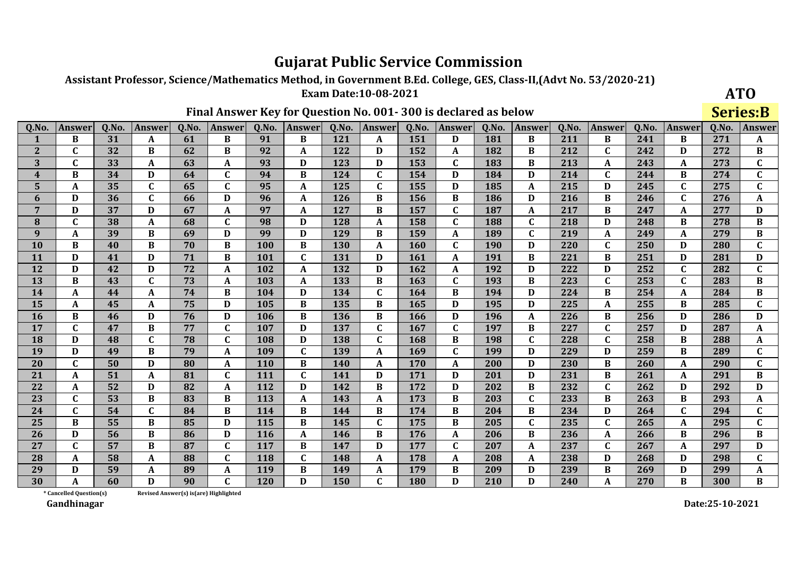Assistant Professor, Science/Mathematics Method, in Government B.Ed. College, GES, Class-II, (Advt No. 53/2020-21)

**Exam Date:10-08-2021** 

### Final Answer Key for Question No. 001-300 is declared as below

**ATO Series:B** 

| Q.No.            | <b>Answer</b> | Q.No. | <b>Answer</b> | Q.No. | Answer       | Q.No. | <b>Answer</b> | Q.No.      | <b>Answer</b> | Q.No.      | <b>Answer</b> | Q.No.      | <b>Answer</b> | Q.No. | <b>Answer</b> | Q.No. | Answer       | Q.No. | Answer           |
|------------------|---------------|-------|---------------|-------|--------------|-------|---------------|------------|---------------|------------|---------------|------------|---------------|-------|---------------|-------|--------------|-------|------------------|
|                  | <sub>R</sub>  | 31    | A             | 61    | <sub>R</sub> | 91    | <sub>R</sub>  | 121        | A             | 151        | D             | 181        | <sub>R</sub>  | 211   | B             | 241   | <sub>R</sub> | 271   | A                |
| $\overline{2}$   | C             | 32    | B             | 62    | B            | 92    | A             | 122        | D             | 152        | A             | 182        | B             | 212   | $\mathbf C$   | 242   | D            | 272   | $\bf{B}$         |
| 3                | $\mathbf{C}$  | 33    | A             | 63    | A            | 93    | D             | 123        | D             | 153        | $\mathbf C$   | 183        | B             | 213   | A             | 243   | A            | 273   | $\mathbf C$      |
| $\boldsymbol{4}$ | B             | 34    | D             | 64    | $\mathbf C$  | 94    | B             | 124        | $\mathbf{C}$  | 154        | D             | 184        | D             | 214   | $\mathbf C$   | 244   | B            | 274   | $\mathbf C$      |
| 5                | A             | 35    | $\mathbf C$   | 65    | $\mathbf{C}$ | 95    | A             | 125        | C             | 155        | D             | 185        | A             | 215   | D             | 245   | C            | 275   | $\mathbf{C}$     |
| 6                | D             | 36    | $\mathbf C$   | 66    | D            | 96    | $\mathbf{A}$  | 126        | B             | 156        | B             | 186        | D             | 216   | B             | 246   | $\mathbf{C}$ | 276   | $\boldsymbol{A}$ |
| 7                | D             | 37    | D             | 67    | A            | 97    | $\mathbf{A}$  | 127        | B             | 157        | $\mathbf C$   | 187        | A             | 217   | $\bf{B}$      | 247   | A            | 277   | D                |
| 8                | $\mathbf C$   | 38    | A             | 68    | $\mathbf C$  | 98    | D             | 128        | A             | 158        | $\mathbf C$   | 188        | $\mathbf{C}$  | 218   | D             | 248   | B            | 278   | $\, {\bf B}$     |
| 9                | A             | 39    | B             | 69    | D            | 99    | D             | 129        | B             | 159        | A             | 189        | $\mathbf C$   | 219   | $\mathbf{A}$  | 249   | A            | 279   | $\bf{B}$         |
| 10               | B             | 40    | $\bf{B}$      | 70    | B            | 100   | B             | <b>130</b> | A             | <b>160</b> | $\mathbf C$   | <b>190</b> | D             | 220   | $\mathbf C$   | 250   | D            | 280   | $\mathbf C$      |
| 11               | D             | 41    | D             | 71    | B            | 101   | $\mathbf C$   | 131        | D             | 161        | A             | 191        | B             | 221   | B             | 251   | D            | 281   | $\mathbf D$      |
| 12               | D             | 42    | D             | 72    | A            | 102   | A             | 132        | D             | 162        | A             | 192        | D             | 222   | D             | 252   | C            | 282   | $\mathbf{C}$     |
| 13               | B             | 43    | $\mathbf C$   | 73    | A            | 103   | A             | 133        | B             | 163        | $\mathbf C$   | 193        | B             | 223   | $\mathbf{C}$  | 253   | $\mathbf{C}$ | 283   | $\bf{B}$         |
| 14               | A             | 44    | A             | 74    | B            | 104   | D             | 134        | C             | 164        | B             | 194        | D             | 224   | B             | 254   | A            | 284   | $\bf{B}$         |
| 15               | A             | 45    | A             | 75    | D            | 105   | B             | 135        | B             | 165        | D             | 195        | D             | 225   | $\mathbf{A}$  | 255   | B            | 285   | $\mathbf C$      |
| 16               | B             | 46    | D             | 76    | D            | 106   | B             | 136        | B             | 166        | D             | 196        | A             | 226   | B             | 256   | D            | 286   | D                |
| 17               | $\mathbf{C}$  | 47    | B             | 77    | $\mathbf{C}$ | 107   | D             | 137        | $\mathbf{C}$  | 167        | C             | 197        | B             | 227   | $\mathbf C$   | 257   | D            | 287   | A                |
| 18               | D             | 48    | $\mathbf C$   | 78    | C            | 108   | D             | 138        | $\mathbf C$   | 168        | B             | 198        | $\mathbf C$   | 228   | $\mathbf C$   | 258   | B            | 288   | A                |
| 19               | D             | 49    | B             | 79    | A            | 109   | $\mathbf C$   | 139        | A             | 169        | C             | 199        | D             | 229   | D             | 259   | B            | 289   | $\mathbf{C}$     |
| 20               | $\mathbf{C}$  | 50    | D             | 80    | A            | 110   | $\, {\bf B}$  | 140        | A             | 170        | A             | 200        | D             | 230   | $\bf{B}$      | 260   | A            | 290   | $\mathbf C$      |
| 21               | A             | 51    | A             | 81    | C            | 111   | $\mathbf C$   | 141        | D             | 171        | D             | 201        | D             | 231   | B             | 261   | A            | 291   | $\bf{B}$         |
| 22               | A             | 52    | D             | 82    | A            | 112   | D             | 142        | B             | 172        | D             | 202        | B             | 232   | $\mathbf C$   | 262   | D            | 292   | D                |
| 23               | C             | 53    | $\bf{B}$      | 83    | B            | 113   | A             | 143        | A             | 173        | B             | 203        | $\mathbf C$   | 233   | B             | 263   | B            | 293   | A                |
| 24               | C             | 54    | $\mathbf C$   | 84    | B            | 114   | B             | 144        | B             | 174        | B             | 204        | B             | 234   | D             | 264   | C            | 294   | $\mathbf{C}$     |
| 25               | B             | 55    | B             | 85    | D            | 115   | B             | 145        | $\mathbf C$   | 175        | $\bf{B}$      | 205        | $\mathbf C$   | 235   | $\mathbf C$   | 265   | A            | 295   | $\mathbf{C}$     |
| 26               | D             | 56    | B             | 86    | D            | 116   | A             | 146        | B             | 176        | A             | 206        | B             | 236   | A             | 266   | B            | 296   | $\bf{B}$         |
| 27               | $\mathbf{C}$  | 57    | $\bf{B}$      | 87    | $\mathbf C$  | 117   | B             | 147        | D             | 177        | $\mathbf C$   | 207        | A             | 237   | $\mathbf{C}$  | 267   | A            | 297   | D                |
| 28               | A             | 58    | A             | 88    | $\mathbf C$  | 118   | $\mathbf C$   | 148        | A             | 178        | A             | 208        | A             | 238   | D             | 268   | D            | 298   | $\mathbf C$      |
| 29               | D             | 59    | A             | 89    | A            | 119   | $\bf{B}$      | 149        | A             | 179        | B             | 209        | D             | 239   | $\bf{B}$      | 269   | D            | 299   | A                |
| 30               | A             | 60    | D             | 90    | $\mathbf{C}$ | 120   | $\mathbf{D}$  | 150        | $\mathbf{C}$  | 180        | $\mathbf{D}$  | 210        | D             | 240   | A             | 270   | $\bf{B}$     | 300   | $\bf{B}$         |

\* Cancelled Question(s) Revised Answer(s) is(are) Highlighted

Gandhinagar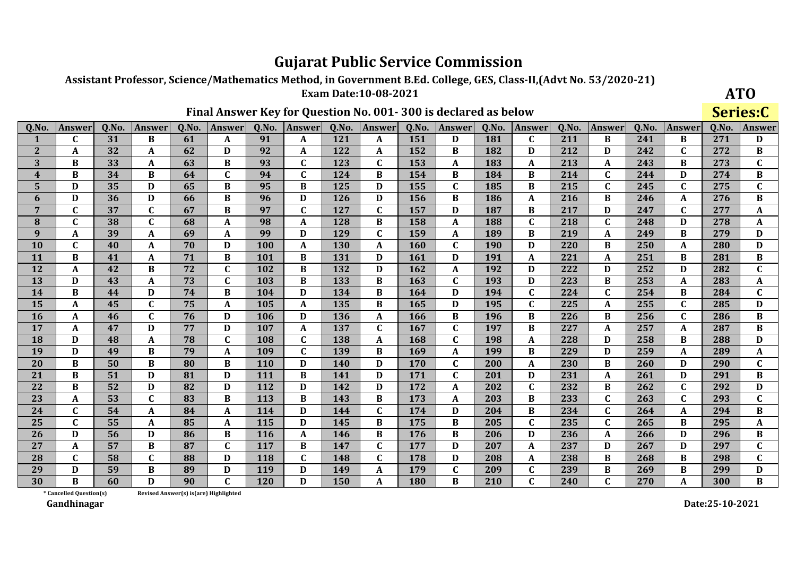Assistant Professor, Science/Mathematics Method, in Government B.Ed. College, GES, Class-II, (Advt No. 53/2020-21)

**Exam Date:10-08-2021** 

### Final Answer Key for Question No. 001-300 is declared as below

**ATO** Series:C

| Q.No.                   | Answer       | Q.No. | Answer       | Q.No. | Answer       | Q.No.      | Answer       | Q.No.      | Answer       | Q.No. | <b>Answer</b> | Q.No. | <b>Answer</b> | Q.No. | <b>Answer</b> | Q.No. | Answer       | Q.No. | <b>Answer</b> |
|-------------------------|--------------|-------|--------------|-------|--------------|------------|--------------|------------|--------------|-------|---------------|-------|---------------|-------|---------------|-------|--------------|-------|---------------|
| $\mathbf{1}$            | C            | 31    | <sub>R</sub> | 61    | A            | 91         | A            | 121        | A            | 151   | D             | 181   | C             | 211   | B             | 241   | <sub>R</sub> | 271   | D             |
| $\mathbf{2}$            | A            | 32    | A            | 62    | D            | 92         | A            | 122        | A            | 152   | B             | 182   | D             | 212   | D             | 242   | C            | 272   | B             |
| 3                       | B            | 33    | A            | 63    | B            | 93         | $\mathbf C$  | 123        | $\mathbf{C}$ | 153   | A             | 183   | A             | 213   | A             | 243   | B            | 273   | $\mathbf C$   |
| $\overline{\mathbf{4}}$ | B            | 34    | B            | 64    | $\mathbf{C}$ | 94         | $\mathbf{C}$ | 124        | B            | 154   | B             | 184   | B             | 214   | $\mathbf{C}$  | 244   | D            | 274   | $\bf{B}$      |
| 5                       | D            | 35    | D            | 65    | B            | 95         | $\bf{B}$     | 125        | D            | 155   | $\mathbf{C}$  | 185   | B             | 215   | $\mathbf C$   | 245   | C            | 275   | $\mathbf C$   |
| 6                       | D            | 36    | D            | 66    | B            | 96         | D            | 126        | D            | 156   | B             | 186   | A             | 216   | $\bf{B}$      | 246   | A            | 276   | $\bf{B}$      |
| $\overline{7}$          | $\mathbf C$  | 37    | $\mathbf C$  | 67    | B            | 97         | $\mathbf C$  | 127        | C.           | 157   | D             | 187   | B             | 217   | D             | 247   | C            | 277   | A             |
| 8                       | $\mathbf{C}$ | 38    | $\mathbf C$  | 68    | A            | 98         | $\mathbf{A}$ | 128        | B            | 158   | A             | 188   | $\mathbf C$   | 218   | $\mathbf C$   | 248   | D            | 278   | A             |
| 9                       | A            | 39    | A            | 69    | A            | 99         | $\mathbf D$  | 129        | C.           | 159   | A             | 189   | $\bf{B}$      | 219   | $\mathbf{A}$  | 249   | B            | 279   | D             |
| 10                      | C            | 40    | A            | 70    | D            | <b>100</b> | A            | <b>130</b> | A            | 160   | C             | 190   | D             | 220   | B             | 250   | A            | 280   | D             |
| 11                      | $\bf{B}$     | 41    | A            | 71    | $\bf{B}$     | 101        | $\bf{B}$     | 131        | D            | 161   | D             | 191   | A             | 221   | A             | 251   | B            | 281   | $\bf{B}$      |
| 12                      | A            | 42    | B            | 72    | $\mathbf{C}$ | 102        | $\bf{B}$     | 132        | D            | 162   | A             | 192   | D             | 222   | D             | 252   | D            | 282   | $\mathbf C$   |
| 13                      | D            | 43    | A            | 73    | $\mathbf{C}$ | 103        | $\bf{B}$     | 133        | B            | 163   | $\mathbf C$   | 193   | D             | 223   | $\bf{B}$      | 253   | A            | 283   | A             |
| 14                      | <sub>R</sub> | 44    | D            | 74    | B            | 104        | D            | 134        | B            | 164   | D             | 194   | C             | 224   | $\mathbf C$   | 254   | B            | 284   | $\mathbf C$   |
| 15                      | A            | 45    | $\mathbf C$  | 75    | $\mathbf{A}$ | 105        | $\mathbf{A}$ | 135        | $\bf{B}$     | 165   | D             | 195   | $\mathbf C$   | 225   | $\mathbf A$   | 255   | $\mathbf{C}$ | 285   | D             |
| 16                      | A            | 46    | $\mathbf C$  | 76    | D            | 106        | $\mathbf D$  | 136        | A            | 166   | $\bf{B}$      | 196   | $\bf{B}$      | 226   | $\bf{B}$      | 256   | $\mathbf C$  | 286   | $\bf{B}$      |
| 17                      | A            | 47    | D            | 77    | D            | 107        | A            | 137        | C            | 167   | C             | 197   | B             | 227   | A             | 257   | A            | 287   | $\bf{B}$      |
| 18                      | $\mathbf{D}$ | 48    | A            | 78    | $\mathbf C$  | 108        | $\mathbf C$  | 138        | A            | 168   | $\mathbf C$   | 198   | A             | 228   | D             | 258   | B            | 288   | D             |
| 19                      | D            | 49    | B            | 79    | A            | 109        | $\mathbf C$  | 139        | B            | 169   | A             | 199   | B             | 229   | D             | 259   | A            | 289   | A             |
| 20                      | B            | 50    | $\bf{B}$     | 80    | B            | <b>110</b> | D            | 140        | D            | 170   | C             | 200   | A             | 230   | $\bf{B}$      | 260   | D            | 290   | $\mathbf C$   |
| 21                      | B            | 51    | D            | 81    | D            | 111        | $\bf{B}$     | 141        | D            | 171   | C             | 201   | D             | 231   | A             | 261   | D            | 291   | $\bf{B}$      |
| 22                      | $\bf{B}$     | 52    | D            | 82    | D            | 112        | D            | 142        | D            | 172   | A             | 202   | $\mathbf C$   | 232   | $\bf{B}$      | 262   | $\mathbf C$  | 292   | D             |
| 23                      | A            | 53    | C            | 83    | B            | 113        | B            | 143        | B            | 173   | A             | 203   | B             | 233   | $\mathbf C$   | 263   | C            | 293   | $\mathbf C$   |
| 24                      | $\mathbf{C}$ | 54    | A            | 84    | A            | 114        | $\mathbf{D}$ | 144        | $\mathbf{C}$ | 174   | D             | 204   | $\bf{B}$      | 234   | $\mathbf{C}$  | 264   | A            | 294   | $\, {\bf B}$  |
| 25                      | $\mathbf{C}$ | 55    | A            | 85    | A            | 115        | D            | 145        | B            | 175   | B             | 205   | $\mathbf C$   | 235   | $\mathbf{C}$  | 265   | B            | 295   | $\mathbf{A}$  |
| 26                      | D            | 56    | D            | 86    | B            | 116        | A            | 146        | B            | 176   | B             | 206   | D             | 236   | A             | 266   | D            | 296   | $\bf{B}$      |
| 27                      | A            | 57    | B            | 87    | $\mathbf{C}$ | 117        | B            | 147        | $\mathbf{C}$ | 177   | D             | 207   | A             | 237   | D             | 267   | D            | 297   | $\mathbf C$   |
| 28                      | $\mathbf C$  | 58    | $\mathbf C$  | 88    | D            | 118        | $\mathbf C$  | 148        | C            | 178   | D             | 208   | A             | 238   | $\bf{B}$      | 268   | B            | 298   | $\mathbf C$   |
| 29                      | D            | 59    | B            | 89    | D            | 119        | D            | 149        | A            | 179   | $\mathbf{C}$  | 209   | $\mathbf C$   | 239   | $\bf{B}$      | 269   | <sub>R</sub> | 299   | D             |
| 30                      | R            | 60    | $\mathbf D$  | 90    |              | 120        | D            | 150        |              | 180   | R             | 210   | $\mathbf{r}$  | 240   | $\mathbf{C}$  | 270   | A            | 300   | B             |

\* Cancelled Question(s) Revised Answer(s) is(are) Highlighted

Gandhinagar